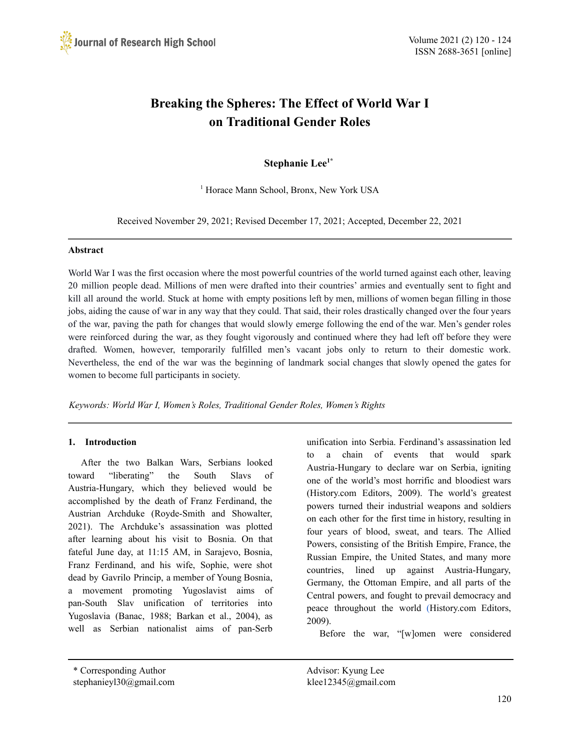

# **Breaking the Spheres: The Effect of World War I on Traditional Gender Roles**

# **Stephanie Lee 1\***

<sup>1</sup> Horace Mann School, Bronx, New York USA

Received November 29, 2021; Revised December 17, 2021; Accepted, December 22, 2021

#### **Abstract**

World War I was the first occasion where the most powerful countries of the world turned against each other, leaving 20 million people dead. Millions of men were drafted into their countries' armies and eventually sent to fight and kill all around the world. Stuck at home with empty positions left by men, millions of women began filling in those jobs, aiding the cause of war in any way that they could. That said, their roles drastically changed over the four years of the war, paving the path for changes that would slowly emerge following the end of the war. Men's gender roles were reinforced during the war, as they fought vigorously and continued where they had left off before they were drafted. Women, however, temporarily fulfilled men's vacant jobs only to return to their domestic work. Nevertheless, the end of the war was the beginning of landmark social changes that slowly opened the gates for women to become full participants in society.

*Keywords: World War I, Women's Roles, Traditional Gender Roles, Women's Rights*

## **1. Introduction**

After the two Balkan Wars, Serbians looked toward "liberating" the South Slavs of Austria-Hungary, which they believed would be accomplished by the death of Franz Ferdinand, the Austrian Archduke (Royde-Smith and Showalter, 2021). The Archduke's assassination was plotted after learning about his visit to Bosnia. On that fateful June day, at 11:15 AM, in Sarajevo, Bosnia, Franz Ferdinand, and his wife, Sophie, were shot dead by Gavrilo Princip, a member of Young Bosnia, a movement promoting Yugoslavist aims of pan-South Slav unification of territories into Yugoslavia (Banac, 1988; Barkan et al., 2004), as well as Serbian nationalist aims of pan-Serb

unification into Serbia. Ferdinand's assassination led to a chain of events that would spark Austria-Hungary to declare war on Serbia, igniting one of the world's most horrific and bloodiest wars (History.com Editors, 2009). The world's greatest powers turned their industrial weapons and soldiers on each other for the first time in history, resulting in four years of blood, sweat, and tears. The Allied Powers, consisting of the British Empire, France, the Russian Empire, the United States, and many more countries, lined up against Austria-Hungary, Germany, the Ottoman Empire, and all parts of the Central powers, and fought to prevail democracy and peace throughout the world [\(H](https://paperpile.com/c/iLGZrc/bmZb)istory.com Editors, 2009).

Before the war, "[w]omen were considered

\* Corresponding Author Advisor: Kyung Lee stephanieyl30@gmail.com klee12345@gmail.com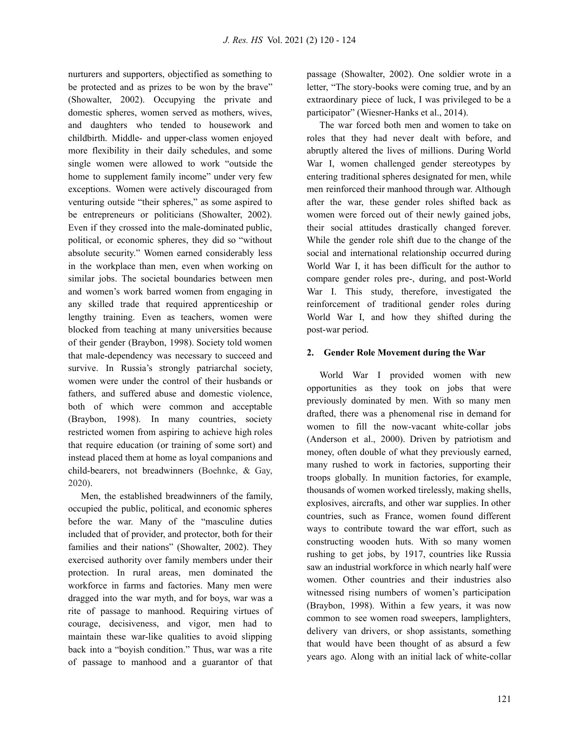nurturers and supporters, objectified as something to be protected and as prizes to be won by the brave" (Showalter, 2002). Occupying the private and domestic spheres, women served as mothers, wives, and daughters who tended to housework and childbirth. Middle- and upper-class women enjoyed more flexibility in their daily schedules, and some single women were allowed to work "outside the home to supplement family income" under very few exceptions. Women were actively discouraged from venturing outside "their spheres," as some aspired to be entrepreneurs or politicians (Showalter, 2002). Even if they crossed into the male-dominated public, political, or economic spheres, they did so "without absolute security." Women earned considerably less in the workplace than men, even when working on similar jobs. The societal boundaries between men and women's work barred women from engaging in any skilled trade that required apprenticeship or lengthy training. Even as teachers, women were blocked from teaching at many universities because of their gender (Braybon, 1998). Society told women that male-dependency was necessary to succeed and survive. In Russia's strongly patriarchal society, women were under the control of their husbands or fathers, and suffered abuse and domestic violence, both of which were common and acceptable (Braybon, 1998). In many countries, society restricted women from aspiring to achieve high roles that require education (or training of some sort) and instead placed them at home as loyal companions and child-bearers, not breadwinners (Boehnke, & Gay, 2020).

Men, the established breadwinners of the family, occupied the public, political, and economic spheres before the war. Many of the "masculine duties included that of provider, and protector, both for their families and their nations" (Showalter, 2002). They exercised authority over family members under their protection. In rural areas, men dominated the workforce in farms and factories. Many men were dragged into the war myth, and for boys, war was a rite of passage to manhood. Requiring virtues of courage, decisiveness, and vigor, men had to maintain these war-like qualities to avoid slipping back into a "boyish condition." Thus, war was a rite of passage to manhood and a guarantor of that

passage (Showalter, 2002). One soldier wrote in a letter, "The story-books were coming true, and by an extraordinary piece of luck, I was privileged to be a participator" (Wiesner-Hanks et al., 2014).

The war forced both men and women to take on roles that they had never dealt with before, and abruptly altered the lives of millions. During World War I, women challenged gender stereotypes by entering traditional spheres designated for men, while men reinforced their manhood through war. Although after the war, these gender roles shifted back as women were forced out of their newly gained jobs, their social attitudes drastically changed forever. While the gender role shift due to the change of the social and international relationship occurred during World War I, it has been difficult for the author to compare gender roles pre-, during, and post-World War I. This study, therefore, investigated the reinforcement of traditional gender roles during World War I, and how they shifted during the post-war period.

## **2. Gender Role Movement during the War**

World War I provided women with new opportunities as they took on jobs that were previously dominated by men. With so many men drafted, there was a phenomenal rise in demand for women to fill the now-vacant white-collar jobs (Anderson et al., 2000). Driven by patriotism and money, often double of what they previously earned, many rushed to work in factories, supporting their troops globally. In munition factories, for example, thousands of women worked tirelessly, making shells, explosives, aircrafts, and other war supplies. In other countries, such as France, women found different ways to contribute toward the war effort, such as constructing wooden huts. With so many women rushing to get jobs, by 1917, countries like Russia saw an industrial workforce in which nearly half were women. Other countries and their industries also witnessed rising numbers of women's participation (Braybon, 1998). Within a few years, it was now common to see women road sweepers, lamplighters, delivery van drivers, or shop assistants, something that would have been thought of as absurd a few years ago. Along with an initial lack of white-collar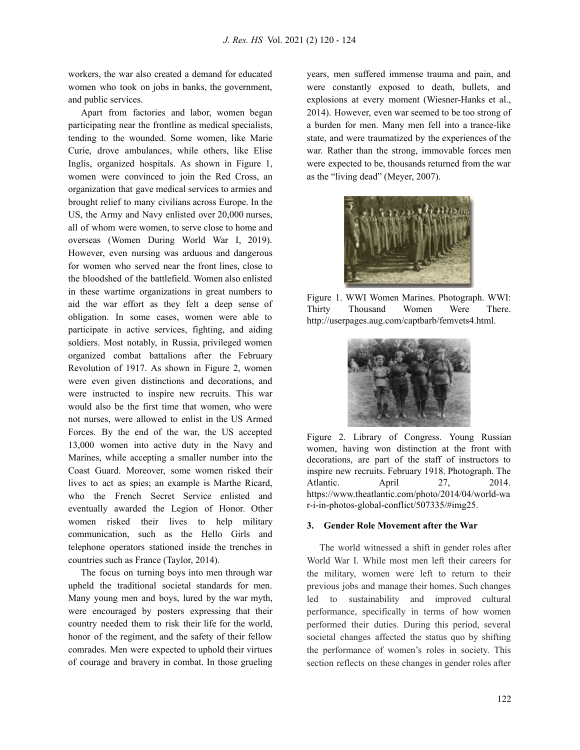workers, the war also created a demand for educated women who took on jobs in banks, the government, and public services.

Apart from factories and labor, women began participating near the frontline as medical specialists, tending to the wounded. Some women, like Marie Curie, drove ambulances, while others, like Elise Inglis, organized hospitals. As shown in Figure 1, women were convinced to join the Red Cross, an organization that gave medical services to armies and brought relief to many civilians across Europe. In the US, the Army and Navy enlisted over 20,000 nurses, all of whom were women, to serve close to home and overseas (Women During World War I, 2019). However, even nursing was arduous and dangerous for women who served near the front lines, close to the bloodshed of the battlefield. Women also enlisted in these wartime organizations in great numbers to aid the war effort as they felt a deep sense of obligation. In some cases, women were able to participate in active services, fighting, and aiding soldiers. Most notably, in Russia, privileged women organized combat battalions after the February Revolution of 1917. As shown in Figure 2, women were even given distinctions and decorations, and were instructed to inspire new recruits. This war would also be the first time that women, who were not nurses, were allowed to enlist in the US Armed Forces. By the end of the war, the US accepted 13,000 women into active duty in the Navy and Marines, while accepting a smaller number into the Coast Guard. Moreover, some women risked their lives to act as spies; an example is Marthe Ricard, who the French Secret Service enlisted and eventually awarded the Legion of Honor. Other women risked their lives to help military communication, such as the Hello Girls and telephone operators stationed inside the trenches in countries such as France (Taylor, 2014).

The focus on turning boys into men through war upheld the traditional societal standards for men. Many young men and boys, lured by the war myth, were encouraged by posters expressing that their country needed them to risk their life for the world, honor of the regiment, and the safety of their fellow comrades. Men were expected to uphold their virtues of courage and bravery in combat. In those grueling

years, men suffered immense trauma and pain, and were constantly exposed to death, bullets, and explosions at every moment (Wiesner-Hanks et al., 2014). However, even war seemed to be too strong of a burden for men. Many men fell into a trance-like state, and were traumatized by the experiences of the war. Rather than the strong, immovable forces men were expected to be, thousands returned from the war as the "living dead" (Meyer, 2007).



Figure 1. WWI Women Marines. Photograph. WWI: Thirty Thousand Women Were There. http://userpages.aug.com/captbarb/femvets4.html.



Figure 2. Library of Congress. Young Russian women, having won distinction at the front with decorations, are part of the staff of instructors to inspire new recruits. February 1918. Photograph. The Atlantic. April 27, 2014. https://www.theatlantic.com/photo/2014/04/world-wa r-i-in-photos-global-conflict/507335/#img25.

#### **3. Gender Role Movement after the War**

The world witnessed a shift in gender roles after World War I. While most men left their careers for the military, women were left to return to their previous jobs and manage their homes. Such changes led to sustainability and improved cultural performance, specifically in terms of how women performed their duties. During this period, several societal changes affected the status quo by shifting the performance of women's roles in society. This section reflects on these changes in gender roles after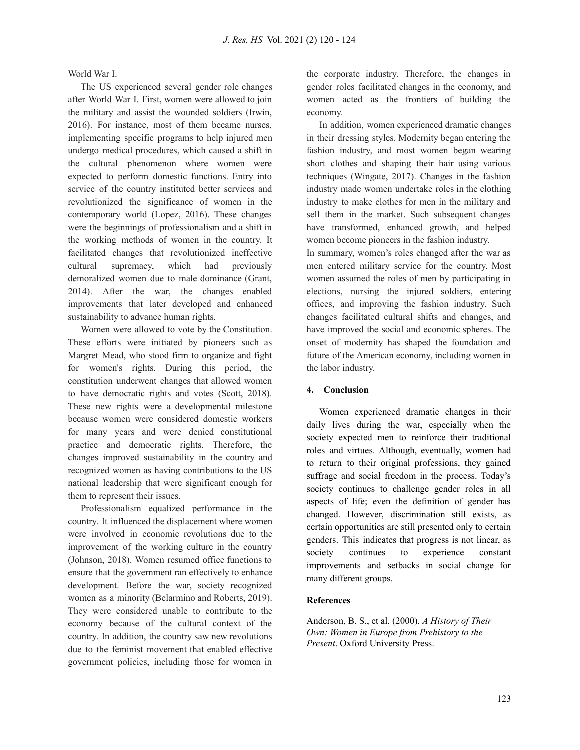World War I.

The US experienced several gender role changes after World War I. First, women were allowed to join the military and assist the wounded soldiers (Irwin, 2016). For instance, most of them became nurses, implementing specific programs to help injured men undergo medical procedures, which caused a shift in the cultural phenomenon where women were expected to perform domestic functions. Entry into service of the country instituted better services and revolutionized the significance of women in the contemporary world (Lopez, 2016). These changes were the beginnings of professionalism and a shift in the working methods of women in the country. It facilitated changes that revolutionized ineffective cultural supremacy, which had previously demoralized women due to male dominance (Grant, 2014). After the war, the changes enabled improvements that later developed and enhanced sustainability to advance human rights.

Women were allowed to vote by the Constitution. These efforts were initiated by pioneers such as Margret Mead, who stood firm to organize and fight for women's rights. During this period, the constitution underwent changes that allowed women to have democratic rights and votes (Scott, 2018). These new rights were a developmental milestone because women were considered domestic workers for many years and were denied constitutional practice and democratic rights. Therefore, the changes improved sustainability in the country and recognized women as having contributions to the US national leadership that were significant enough for them to represent their issues.

Professionalism equalized performance in the country. It influenced the displacement where women were involved in economic revolutions due to the improvement of the working culture in the country (Johnson, 2018). Women resumed office functions to ensure that the government ran effectively to enhance development. Before the war, society recognized women as a minority (Belarmino and Roberts, 2019). They were considered unable to contribute to the economy because of the cultural context of the country. In addition, the country saw new revolutions due to the feminist movement that enabled effective government policies, including those for women in

the corporate industry. Therefore, the changes in gender roles facilitated changes in the economy, and women acted as the frontiers of building the economy.

In addition, women experienced dramatic changes in their dressing styles. Modernity began entering the fashion industry, and most women began wearing short clothes and shaping their hair using various techniques (Wingate, 2017). Changes in the fashion industry made women undertake roles in the clothing industry to make clothes for men in the military and sell them in the market. Such subsequent changes have transformed, enhanced growth, and helped women become pioneers in the fashion industry.

In summary, women's roles changed after the war as men entered military service for the country. Most women assumed the roles of men by participating in elections, nursing the injured soldiers, entering offices, and improving the fashion industry. Such changes facilitated cultural shifts and changes, and have improved the social and economic spheres. The onset of modernity has shaped the foundation and future of the American economy, including women in the labor industry.

## **4. Conclusion**

Women experienced dramatic changes in their daily lives during the war, especially when the society expected men to reinforce their traditional roles and virtues. Although, eventually, women had to return to their original professions, they gained suffrage and social freedom in the process. Today's society continues to challenge gender roles in all aspects of life; even the definition of gender has changed. However, discrimination still exists, as certain opportunities are still presented only to certain genders. This indicates that progress is not linear, as society continues to experience constant improvements and setbacks in social change for many different groups.

### **References**

Anderson, B. S., et al. (2000). *A History of Their Own: Women in Europe from Prehistory to the Present*. Oxford University Press.